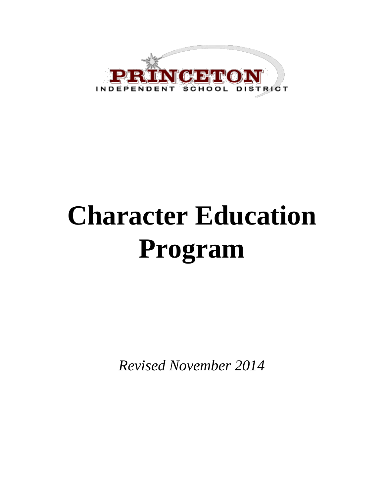

# **Character Education Program**

*Revised November 2014*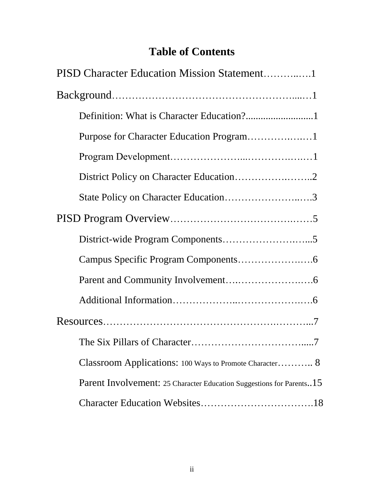### **Table of Contents**

| PISD Character Education Mission Statement1                          |
|----------------------------------------------------------------------|
|                                                                      |
|                                                                      |
| Purpose for Character Education Program1                             |
|                                                                      |
|                                                                      |
| State Policy on Character Education3                                 |
|                                                                      |
|                                                                      |
|                                                                      |
|                                                                      |
|                                                                      |
|                                                                      |
|                                                                      |
| Classroom Applications: 100 Ways to Promote Character 8              |
| Parent Involvement: 25 Character Education Suggestions for Parents15 |
|                                                                      |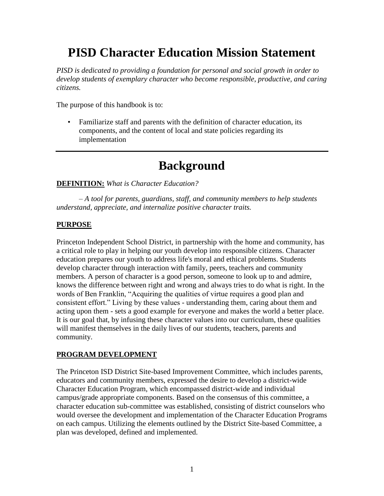### **PISD Character Education Mission Statement**

*PISD is dedicated to providing a foundation for personal and social growth in order to develop students of exemplary character who become responsible, productive, and caring citizens.*

The purpose of this handbook is to:

• Familiarize staff and parents with the definition of character education, its components, and the content of local and state policies regarding its implementation

### **Background**

#### **DEFINITION:** *What is Character Education?*

*– A tool for parents, guardians, staff, and community members to help students understand, appreciate, and internalize positive character traits.* 

#### **PURPOSE**

Princeton Independent School District, in partnership with the home and community, has a critical role to play in helping our youth develop into responsible citizens. Character education prepares our youth to address life's moral and ethical problems. Students develop character through interaction with family, peers, teachers and community members. A person of character is a good person, someone to look up to and admire, knows the difference between right and wrong and always tries to do what is right. In the words of Ben Franklin, "Acquiring the qualities of virtue requires a good plan and consistent effort." Living by these values - understanding them, caring about them and acting upon them - sets a good example for everyone and makes the world a better place. It is our goal that, by infusing these character values into our curriculum, these qualities will manifest themselves in the daily lives of our students, teachers, parents and community.

#### **PROGRAM DEVELOPMENT**

The Princeton ISD District Site-based Improvement Committee, which includes parents, educators and community members, expressed the desire to develop a district-wide Character Education Program, which encompassed district-wide and individual campus/grade appropriate components. Based on the consensus of this committee, a character education sub-committee was established, consisting of district counselors who would oversee the development and implementation of the Character Education Programs on each campus. Utilizing the elements outlined by the District Site-based Committee, a plan was developed, defined and implemented.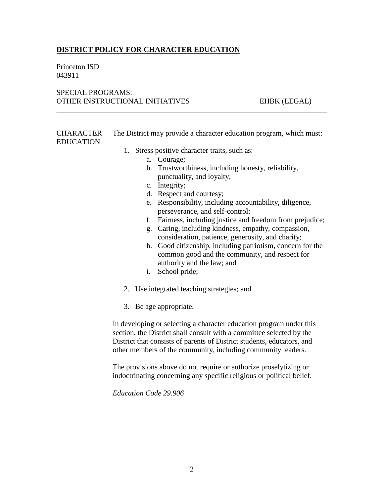#### **DISTRICT POLICY FOR CHARACTER EDUCATION**

Princeton ISD 043911

#### SPECIAL PROGRAMS: OTHER INSTRUCTIONAL INITIATIVES EHBK (LEGAL)

**CHARACTER** EDUCATION The District may provide a character education program, which must:

- 1. Stress positive character traits, such as:
	- a. Courage;
	- b. Trustworthiness, including honesty, reliability, punctuality, and loyalty;
	- c. Integrity;
	- d. Respect and courtesy;
	- e. Responsibility, including accountability, diligence, perseverance, and self-control;
	- f. Fairness, including justice and freedom from prejudice;
	- g. Caring, including kindness, empathy, compassion, consideration, patience, generosity, and charity;
	- h. Good citizenship, including patriotism, concern for the common good and the community, and respect for authority and the law; and
	- i. School pride;
- 2. Use integrated teaching strategies; and
- 3. Be age appropriate.

In developing or selecting a character education program under this section, the District shall consult with a committee selected by the District that consists of parents of District students, educators, and other members of the community, including community leaders.

The provisions above do not require or authorize proselytizing or indoctrinating concerning any specific religious or political belief.

*Education Code 29.906*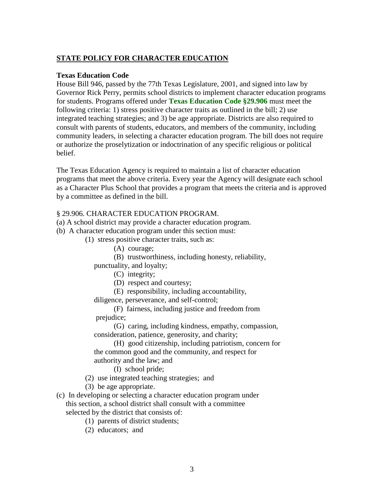#### **STATE POLICY FOR CHARACTER EDUCATION**

#### **Texas Education Code**

House Bill 946, passed by the 77th Texas Legislature, 2001, and signed into law by Governor Rick Perry, permits school districts to implement character education programs for students. Programs offered under **[Texas Education Code §29.906](http://www.capitol.state.tx.us/statutes/docs/ED/content/htm/ed.002.00.000029.00.htm#29.906.00)** must meet the following criteria: 1) stress positive character traits as outlined in the bill; 2) use integrated teaching strategies; and 3) be age appropriate. Districts are also required to consult with parents of students, educators, and members of the community, including community leaders, in selecting a character education program. The bill does not require or authorize the proselytization or indoctrination of any specific religious or political belief.

The Texas Education Agency is required to maintain a list of character education programs that meet the above criteria. Every year the Agency will designate each school as a Character Plus School that provides a program that meets the criteria and is approved by a committee as defined in the bill.

#### § 29.906. CHARACTER EDUCATION PROGRAM.

(a) A school district may provide a character education program.

(b) A character education program under this section must:

(1) stress positive character traits, such as:

(A) courage;

(B) trustworthiness, including honesty, reliability,

punctuality, and loyalty;

- (C) integrity;
- (D) respect and courtesy;
- (E) responsibility, including accountability,

diligence, perseverance, and self-control;

(F) fairness, including justice and freedom from prejudice;

(G) caring, including kindness, empathy, compassion, consideration, patience, generosity, and charity;

(H) good citizenship, including patriotism, concern for the common good and the community, and respect for authority and the law; and

(I) school pride;

- (2) use integrated teaching strategies; and
- (3) be age appropriate.
- (c) In developing or selecting a character education program under this section, a school district shall consult with a committee selected by the district that consists of:
	- (1) parents of district students;
	- (2) educators; and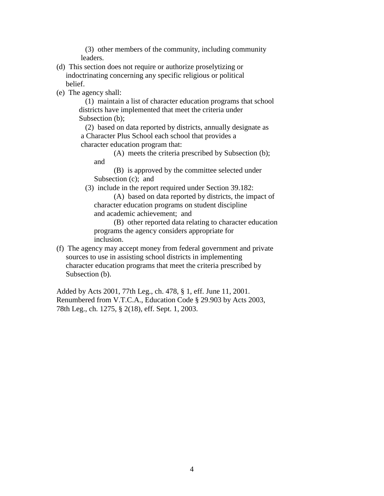(3) other members of the community, including community leaders.

- (d) This section does not require or authorize proselytizing or indoctrinating concerning any specific religious or political belief.
- (e) The agency shall:

(1) maintain a list of character education programs that school districts have implemented that meet the criteria under Subsection (b);

(2) based on data reported by districts, annually designate as a Character Plus School each school that provides a character education program that:

(A) meets the criteria prescribed by Subsection (b); and

(B) is approved by the committee selected under Subsection (c); and

(3) include in the report required under Section 39.182:

(A) based on data reported by districts, the impact of character education programs on student discipline and academic achievement; and

(B) other reported data relating to character education programs the agency considers appropriate for inclusion.

(f) The agency may accept money from federal government and private sources to use in assisting school districts in implementing character education programs that meet the criteria prescribed by Subsection (b).

Added by Acts 2001, 77th Leg., ch. 478, § 1, eff. June 11, 2001. Renumbered from V.T.C.A., Education Code § 29.903 by Acts 2003, 78th Leg., ch. 1275, § 2(18), eff. Sept. 1, 2003.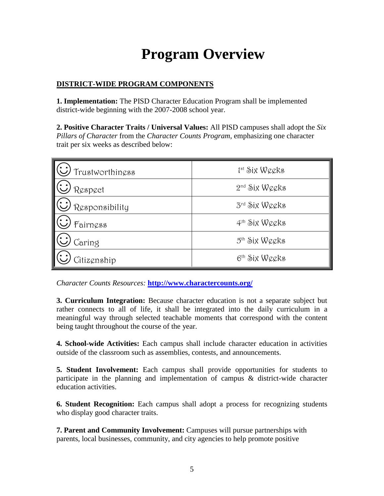### **Program Overview**

#### **DISTRICT-WIDE PROGRAM COMPONENTS**

**1. Implementation:** The PISD Character Education Program shall be implemented district-wide beginning with the 2007-2008 school year.

**2. Positive Character Traits / Universal Values:** All PISD campuses shall adopt the *Six Pillars of Character* from the *Character Counts Program*, emphasizing one character trait per six weeks as described below:

| Trustworthiness                    | 1st Six Weeks             |
|------------------------------------|---------------------------|
| Respect                            | $2nd$ Six Weeks           |
| $\omega$ <sub>Responsibility</sub> | $3^{\text{rd}}$ Six Weeks |
| Fairness                           | $4th$ Six Weeks           |
| Caring                             | 5 <sup>th</sup> Six Weeks |
| Citizenship                        | 6th Six Weeks             |

*Character Counts Resources:* **<http://www.charactercounts.org/>**

**3. Curriculum Integration:** Because character education is not a separate subject but rather connects to all of life, it shall be integrated into the daily curriculum in a meaningful way through selected teachable moments that correspond with the content being taught throughout the course of the year.

**4. School-wide Activities:** Each campus shall include character education in activities outside of the classroom such as assemblies, contests, and announcements.

**5. Student Involvement:** Each campus shall provide opportunities for students to participate in the planning and implementation of campus & district-wide character education activities.

**6. Student Recognition:** Each campus shall adopt a process for recognizing students who display good character traits.

**7. Parent and Community Involvement:** Campuses will pursue partnerships with parents, local businesses, community, and city agencies to help promote positive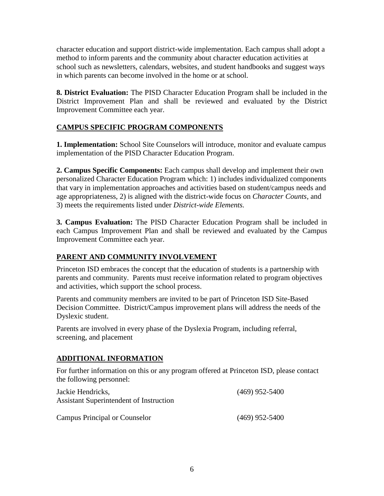character education and support district-wide implementation. Each campus shall adopt a method to inform parents and the community about character education activities at school such as newsletters, calendars, websites, and student handbooks and suggest ways in which parents can become involved in the home or at school.

**8. District Evaluation:** The PISD Character Education Program shall be included in the District Improvement Plan and shall be reviewed and evaluated by the District Improvement Committee each year.

#### **CAMPUS SPECIFIC PROGRAM COMPONENTS**

**1. Implementation:** School Site Counselors will introduce, monitor and evaluate campus implementation of the PISD Character Education Program.

**2. Campus Specific Components:** Each campus shall develop and implement their own personalized Character Education Program which: 1) includes individualized components that vary in implementation approaches and activities based on student/campus needs and age appropriateness, 2) is aligned with the district-wide focus on *Character Counts,* and 3) meets the requirements listed under *District-wide Elements.* 

**3. Campus Evaluation:** The PISD Character Education Program shall be included in each Campus Improvement Plan and shall be reviewed and evaluated by the Campus Improvement Committee each year.

#### **PARENT AND COMMUNITY INVOLVEMENT**

Princeton ISD embraces the concept that the education of students is a partnership with parents and community. Parents must receive information related to program objectives and activities, which support the school process.

Parents and community members are invited to be part of Princeton ISD Site-Based Decision Committee. District/Campus improvement plans will address the needs of the Dyslexic student.

Parents are involved in every phase of the Dyslexia Program, including referral, screening, and placement

#### **ADDITIONAL INFORMATION**

For further information on this or any program offered at Princeton ISD, please contact the following personnel:

| Jackie Hendricks.<br>Assistant Superintendent of Instruction | $(469)$ 952-5400 |
|--------------------------------------------------------------|------------------|
| Campus Principal or Counselor                                | $(469)$ 952-5400 |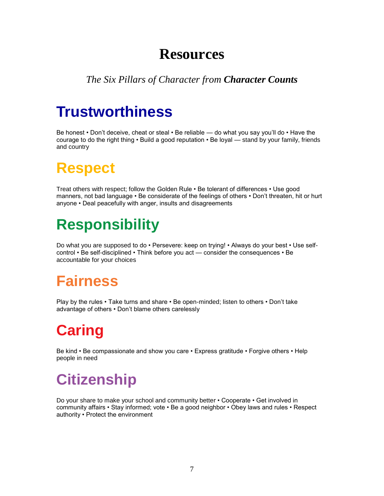### **Resources**

### *The Six Pillars of Character from Character Counts*

### **Trustworthiness**

Be honest • Don't deceive, cheat or steal • Be reliable — do what you say you'll do • Have the courage to do the right thing • Build a good reputation • Be loyal — stand by your family, friends and country

### **Respect**

Treat others with respect; follow the Golden Rule • Be tolerant of differences • Use good manners, not bad language • Be considerate of the feelings of others • Don't threaten, hit or hurt anyone • Deal peacefully with anger, insults and disagreements

### **Responsibility**

Do what you are supposed to do • Persevere: keep on trying! • Always do your best • Use selfcontrol • Be self-disciplined • Think before you act — consider the consequences • Be accountable for your choices

### **Fairness**

Play by the rules • Take turns and share • Be open-minded; listen to others • Don't take advantage of others • Don't blame others carelessly

## **Caring**

Be kind • Be compassionate and show you care • Express gratitude • Forgive others • Help people in need

### **Citizenship**

Do your share to make your school and community better • Cooperate • Get involved in community affairs • Stay informed; vote • Be a good neighbor • Obey laws and rules • Respect authority • Protect the environment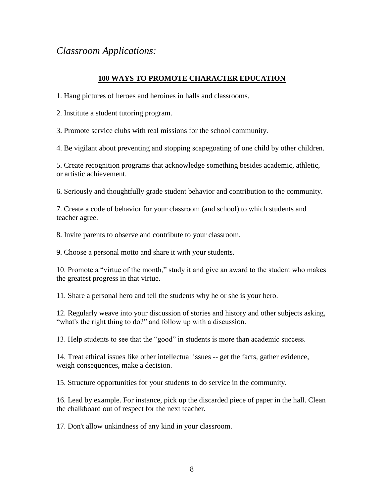### *Classroom Applications:*

#### **100 WAYS TO PROMOTE CHARACTER EDUCATION**

1. Hang pictures of heroes and heroines in halls and classrooms.

2. Institute a student tutoring program.

3. Promote service clubs with real missions for the school community.

4. Be vigilant about preventing and stopping scapegoating of one child by other children.

5. Create recognition programs that acknowledge something besides academic, athletic, or artistic achievement.

6. Seriously and thoughtfully grade student behavior and contribution to the community.

7. Create a code of behavior for your classroom (and school) to which students and teacher agree.

8. Invite parents to observe and contribute to your classroom.

9. Choose a personal motto and share it with your students.

10. Promote a "virtue of the month," study it and give an award to the student who makes the greatest progress in that virtue.

11. Share a personal hero and tell the students why he or she is your hero.

12. Regularly weave into your discussion of stories and history and other subjects asking, "what's the right thing to do?" and follow up with a discussion.

13. Help students to see that the "good" in students is more than academic success.

14. Treat ethical issues like other intellectual issues -- get the facts, gather evidence, weigh consequences, make a decision.

15. Structure opportunities for your students to do service in the community.

16. Lead by example. For instance, pick up the discarded piece of paper in the hall. Clean the chalkboard out of respect for the next teacher.

17. Don't allow unkindness of any kind in your classroom.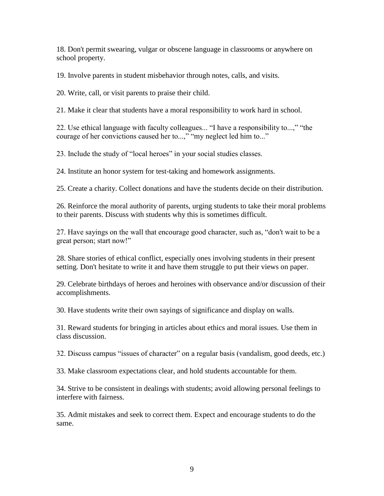18. Don't permit swearing, vulgar or obscene language in classrooms or anywhere on school property.

19. Involve parents in student misbehavior through notes, calls, and visits.

20. Write, call, or visit parents to praise their child.

21. Make it clear that students have a moral responsibility to work hard in school.

22. Use ethical language with faculty colleagues... "I have a responsibility to...," "the courage of her convictions caused her to...," "my neglect led him to..."

23. Include the study of "local heroes" in your social studies classes.

24. Institute an honor system for test-taking and homework assignments.

25. Create a charity. Collect donations and have the students decide on their distribution.

26. Reinforce the moral authority of parents, urging students to take their moral problems to their parents. Discuss with students why this is sometimes difficult.

27. Have sayings on the wall that encourage good character, such as, "don't wait to be a great person; start now!"

28. Share stories of ethical conflict, especially ones involving students in their present setting. Don't hesitate to write it and have them struggle to put their views on paper.

29. Celebrate birthdays of heroes and heroines with observance and/or discussion of their accomplishments.

30. Have students write their own sayings of significance and display on walls.

31. Reward students for bringing in articles about ethics and moral issues. Use them in class discussion.

32. Discuss campus "issues of character" on a regular basis (vandalism, good deeds, etc.)

33. Make classroom expectations clear, and hold students accountable for them.

34. Strive to be consistent in dealings with students; avoid allowing personal feelings to interfere with fairness.

35. Admit mistakes and seek to correct them. Expect and encourage students to do the same.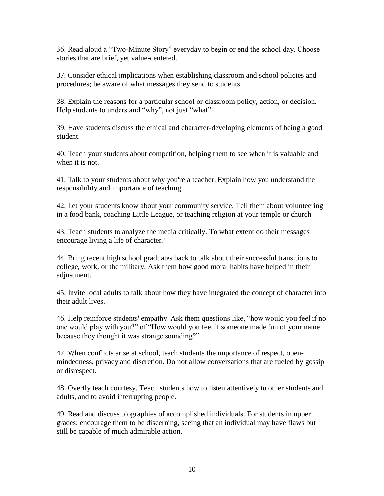36. Read aloud a "Two-Minute Story" everyday to begin or end the school day. Choose stories that are brief, yet value-centered.

37. Consider ethical implications when establishing classroom and school policies and procedures; be aware of what messages they send to students.

38. Explain the reasons for a particular school or classroom policy, action, or decision. Help students to understand "why", not just "what".

39. Have students discuss the ethical and character-developing elements of being a good student.

40. Teach your students about competition, helping them to see when it is valuable and when it is not.

41. Talk to your students about why you're a teacher. Explain how you understand the responsibility and importance of teaching.

42. Let your students know about your community service. Tell them about volunteering in a food bank, coaching Little League, or teaching religion at your temple or church.

43. Teach students to analyze the media critically. To what extent do their messages encourage living a life of character?

44. Bring recent high school graduates back to talk about their successful transitions to college, work, or the military. Ask them how good moral habits have helped in their adjustment.

45. Invite local adults to talk about how they have integrated the concept of character into their adult lives.

46. Help reinforce students' empathy. Ask them questions like, "how would you feel if no one would play with you?" of "How would you feel if someone made fun of your name because they thought it was strange sounding?"

47. When conflicts arise at school, teach students the importance of respect, openmindedness, privacy and discretion. Do not allow conversations that are fueled by gossip or disrespect.

48. Overtly teach courtesy. Teach students how to listen attentively to other students and adults, and to avoid interrupting people.

49. Read and discuss biographies of accomplished individuals. For students in upper grades; encourage them to be discerning, seeing that an individual may have flaws but still be capable of much admirable action.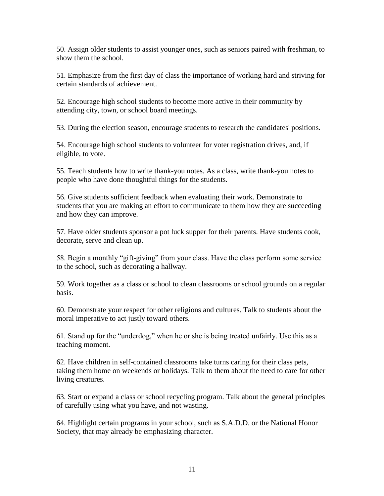50. Assign older students to assist younger ones, such as seniors paired with freshman, to show them the school.

51. Emphasize from the first day of class the importance of working hard and striving for certain standards of achievement.

52. Encourage high school students to become more active in their community by attending city, town, or school board meetings.

53. During the election season, encourage students to research the candidates' positions.

54. Encourage high school students to volunteer for voter registration drives, and, if eligible, to vote.

55. Teach students how to write thank-you notes. As a class, write thank-you notes to people who have done thoughtful things for the students.

56. Give students sufficient feedback when evaluating their work. Demonstrate to students that you are making an effort to communicate to them how they are succeeding and how they can improve.

57. Have older students sponsor a pot luck supper for their parents. Have students cook, decorate, serve and clean up.

58. Begin a monthly "gift-giving" from your class. Have the class perform some service to the school, such as decorating a hallway.

59. Work together as a class or school to clean classrooms or school grounds on a regular basis.

60. Demonstrate your respect for other religions and cultures. Talk to students about the moral imperative to act justly toward others.

61. Stand up for the "underdog," when he or she is being treated unfairly. Use this as a teaching moment.

62. Have children in self-contained classrooms take turns caring for their class pets, taking them home on weekends or holidays. Talk to them about the need to care for other living creatures.

63. Start or expand a class or school recycling program. Talk about the general principles of carefully using what you have, and not wasting.

64. Highlight certain programs in your school, such as S.A.D.D. or the National Honor Society, that may already be emphasizing character.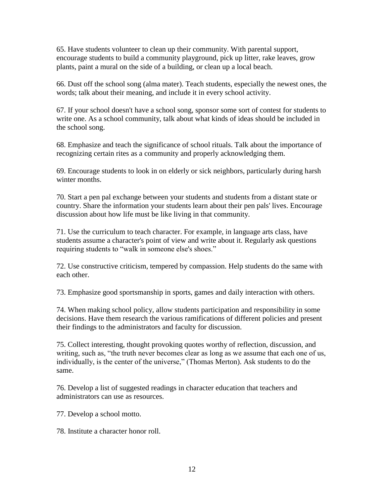65. Have students volunteer to clean up their community. With parental support, encourage students to build a community playground, pick up litter, rake leaves, grow plants, paint a mural on the side of a building, or clean up a local beach.

66. Dust off the school song (alma mater). Teach students, especially the newest ones, the words; talk about their meaning, and include it in every school activity.

67. If your school doesn't have a school song, sponsor some sort of contest for students to write one. As a school community, talk about what kinds of ideas should be included in the school song.

68. Emphasize and teach the significance of school rituals. Talk about the importance of recognizing certain rites as a community and properly acknowledging them.

69. Encourage students to look in on elderly or sick neighbors, particularly during harsh winter months.

70. Start a pen pal exchange between your students and students from a distant state or country. Share the information your students learn about their pen pals' lives. Encourage discussion about how life must be like living in that community.

71. Use the curriculum to teach character. For example, in language arts class, have students assume a character's point of view and write about it. Regularly ask questions requiring students to "walk in someone else's shoes."

72. Use constructive criticism, tempered by compassion. Help students do the same with each other.

73. Emphasize good sportsmanship in sports, games and daily interaction with others.

74. When making school policy, allow students participation and responsibility in some decisions. Have them research the various ramifications of different policies and present their findings to the administrators and faculty for discussion.

75. Collect interesting, thought provoking quotes worthy of reflection, discussion, and writing, such as, "the truth never becomes clear as long as we assume that each one of us, individually, is the center of the universe," (Thomas Merton). Ask students to do the same.

76. Develop a list of suggested readings in character education that teachers and administrators can use as resources.

77. Develop a school motto.

78. Institute a character honor roll.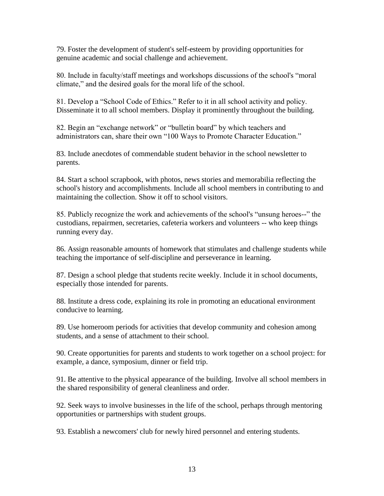79. Foster the development of student's self-esteem by providing opportunities for genuine academic and social challenge and achievement.

80. Include in faculty/staff meetings and workshops discussions of the school's "moral climate," and the desired goals for the moral life of the school.

81. Develop a "School Code of Ethics." Refer to it in all school activity and policy. Disseminate it to all school members. Display it prominently throughout the building.

82. Begin an "exchange network" or "bulletin board" by which teachers and administrators can, share their own "100 Ways to Promote Character Education."

83. Include anecdotes of commendable student behavior in the school newsletter to parents.

84. Start a school scrapbook, with photos, news stories and memorabilia reflecting the school's history and accomplishments. Include all school members in contributing to and maintaining the collection. Show it off to school visitors.

85. Publicly recognize the work and achievements of the school's "unsung heroes--" the custodians, repairmen, secretaries, cafeteria workers and volunteers -- who keep things running every day.

86. Assign reasonable amounts of homework that stimulates and challenge students while teaching the importance of self-discipline and perseverance in learning.

87. Design a school pledge that students recite weekly. Include it in school documents, especially those intended for parents.

88. Institute a dress code, explaining its role in promoting an educational environment conducive to learning.

89. Use homeroom periods for activities that develop community and cohesion among students, and a sense of attachment to their school.

90. Create opportunities for parents and students to work together on a school project: for example, a dance, symposium, dinner or field trip.

91. Be attentive to the physical appearance of the building. Involve all school members in the shared responsibility of general cleanliness and order.

92. Seek ways to involve businesses in the life of the school, perhaps through mentoring opportunities or partnerships with student groups.

93. Establish a newcomers' club for newly hired personnel and entering students.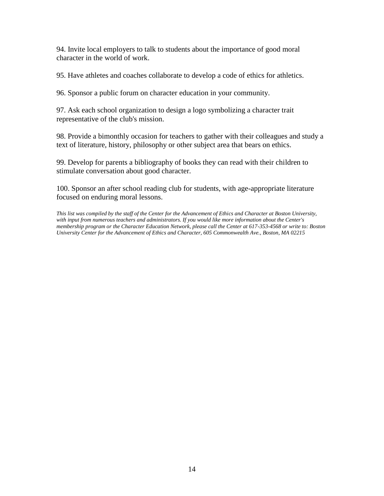94. Invite local employers to talk to students about the importance of good moral character in the world of work.

95. Have athletes and coaches collaborate to develop a code of ethics for athletics.

96. Sponsor a public forum on character education in your community.

97. Ask each school organization to design a logo symbolizing a character trait representative of the club's mission.

98. Provide a bimonthly occasion for teachers to gather with their colleagues and study a text of literature, history, philosophy or other subject area that bears on ethics.

99. Develop for parents a bibliography of books they can read with their children to stimulate conversation about good character.

100. Sponsor an after school reading club for students, with age-appropriate literature focused on enduring moral lessons.

*This list was compiled by the staff of the Center for the Advancement of Ethics and Character at Boston University, with input from numerous teachers and administrators. If you would like more information about the Center's membership program or the Character Education Network, please call the Center at 617-353-4568 or write to: Boston University Center for the Advancement of Ethics and Character, 605 Commonwealth Ave., Boston, MA 02215*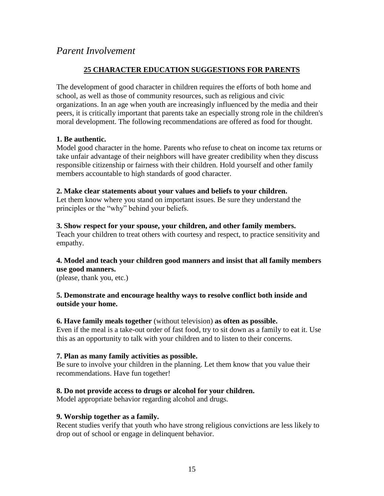#### *Parent Involvement*

#### **25 CHARACTER EDUCATION SUGGESTIONS FOR PARENTS**

The development of good character in children requires the efforts of both home and school, as well as those of community resources, such as religious and civic organizations. In an age when youth are increasingly influenced by the media and their peers, it is critically important that parents take an especially strong role in the children's moral development. The following recommendations are offered as food for thought.

#### **1. Be authentic.**

Model good character in the home. Parents who refuse to cheat on income tax returns or take unfair advantage of their neighbors will have greater credibility when they discuss responsible citizenship or fairness with their children. Hold yourself and other family members accountable to high standards of good character.

#### **2. Make clear statements about your values and beliefs to your children.**

Let them know where you stand on important issues. Be sure they understand the principles or the "why" behind your beliefs.

#### **3. Show respect for your spouse, your children, and other family members.**

Teach your children to treat others with courtesy and respect, to practice sensitivity and empathy.

#### **4. Model and teach your children good manners and insist that all family members use good manners.**

(please, thank you, etc.)

#### **5. Demonstrate and encourage healthy ways to resolve conflict both inside and outside your home.**

**6. Have family meals together** (without television) **as often as possible.** Even if the meal is a take-out order of fast food, try to sit down as a family to eat it. Use this as an opportunity to talk with your children and to listen to their concerns.

#### **7. Plan as many family activities as possible.**

Be sure to involve your children in the planning. Let them know that you value their recommendations. Have fun together!

#### **8. Do not provide access to drugs or alcohol for your children.**

Model appropriate behavior regarding alcohol and drugs.

#### **9. Worship together as a family.**

Recent studies verify that youth who have strong religious convictions are less likely to drop out of school or engage in delinquent behavior.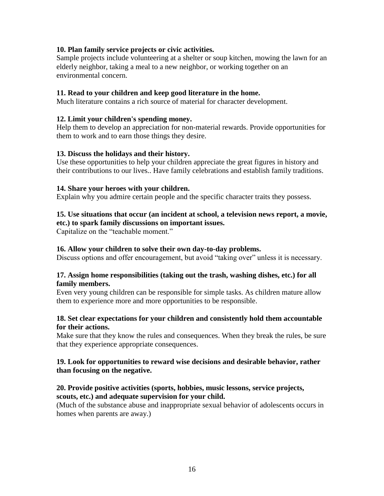#### **10. Plan family service projects or civic activities.**

Sample projects include volunteering at a shelter or soup kitchen, mowing the lawn for an elderly neighbor, taking a meal to a new neighbor, or working together on an environmental concern.

#### **11. Read to your children and keep good literature in the home.**

Much literature contains a rich source of material for character development.

#### **12. Limit your children's spending money.**

Help them to develop an appreciation for non-material rewards. Provide opportunities for them to work and to earn those things they desire.

#### **13. Discuss the holidays and their history.**

Use these opportunities to help your children appreciate the great figures in history and their contributions to our lives.. Have family celebrations and establish family traditions.

#### **14. Share your heroes with your children.**

Explain why you admire certain people and the specific character traits they possess.

#### **15. Use situations that occur (an incident at school, a television news report, a movie, etc.) to spark family discussions on important issues.**

Capitalize on the "teachable moment."

#### **16. Allow your children to solve their own day-to-day problems.**

Discuss options and offer encouragement, but avoid "taking over" unless it is necessary.

#### **17. Assign home responsibilities (taking out the trash, washing dishes, etc.) for all family members.**

Even very young children can be responsible for simple tasks. As children mature allow them to experience more and more opportunities to be responsible.

#### **18. Set clear expectations for your children and consistently hold them accountable for their actions.**

Make sure that they know the rules and consequences. When they break the rules, be sure that they experience appropriate consequences.

#### **19. Look for opportunities to reward wise decisions and desirable behavior, rather than focusing on the negative.**

#### **20. Provide positive activities (sports, hobbies, music lessons, service projects, scouts, etc.) and adequate supervision for your child.**

(Much of the substance abuse and inappropriate sexual behavior of adolescents occurs in homes when parents are away.)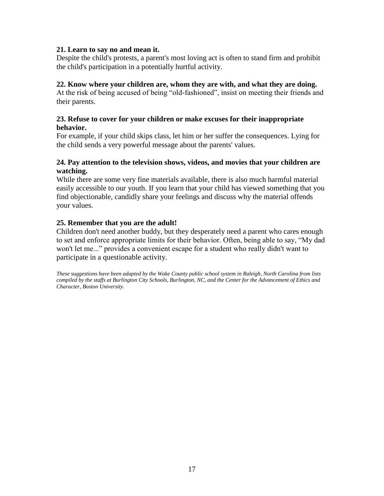#### **21. Learn to say no and mean it.**

Despite the child's protests, a parent's most loving act is often to stand firm and prohibit the child's participation in a potentially hurtful activity.

#### **22. Know where your children are, whom they are with, and what they are doing.**

At the risk of being accused of being "old-fashioned", insist on meeting their friends and their parents.

#### **23. Refuse to cover for your children or make excuses for their inappropriate behavior.**

For example, if your child skips class, let him or her suffer the consequences. Lying for the child sends a very powerful message about the parents' values.

#### **24. Pay attention to the television shows, videos, and movies that your children are watching.**

While there are some very fine materials available, there is also much harmful material easily accessible to our youth. If you learn that your child has viewed something that you find objectionable, candidly share your feelings and discuss why the material offends your values.

#### **25. Remember that you are the adult!**

Children don't need another buddy, but they desperately need a parent who cares enough to set and enforce appropriate limits for their behavior. Often, being able to say, "My dad won't let me..." provides a convenient escape for a student who really didn't want to participate in a questionable activity.

*These suggestions have been adapted by the Wake County public school system in Raleigh, North Carolina from lists compiled by the staffs at Burlington City Schools, Burlington, NC, and the Center for the Advancement of Ethics and Character, Boston University.*